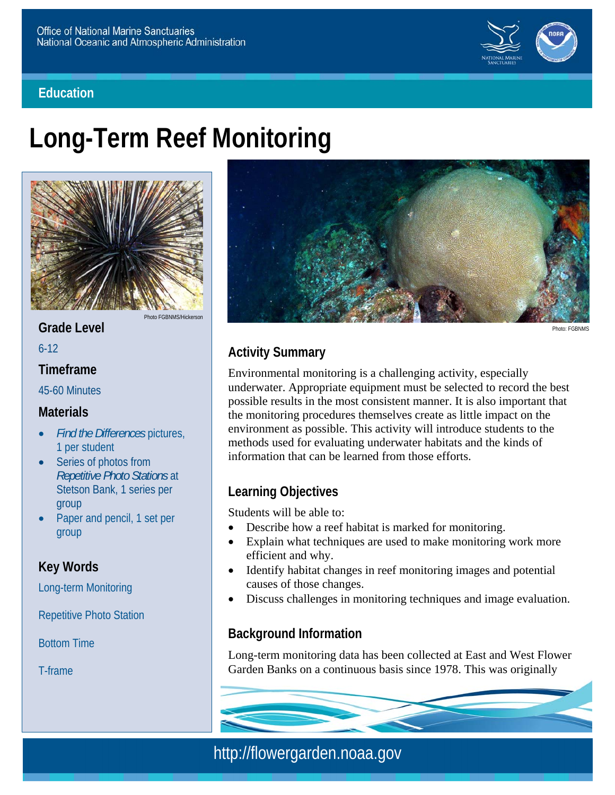#### **Education**



# **Long-Term Reef Monitoring**



**Grade Level** 

6-12

#### **Timeframe**

45-60 Minutes

#### **Materials**

- *Find the Differences* pictures, 1 per student
- Series of photos from *Repetitive Photo Stations* at Stetson Bank, 1 series per group
- Paper and pencil, 1 set per group

## **Key Words**

Long-term Monitoring

Repetitive Photo Station

Bottom Time

T-frame



Photo: FGBNMS

# **Activity Summary**

Environmental monitoring is a challenging activity, especially underwater. Appropriate equipment must be selected to record the best possible results in the most consistent manner. It is also important that the monitoring procedures themselves create as little impact on the environment as possible. This activity will introduce students to the methods used for evaluating underwater habitats and the kinds of information that can be learned from those efforts.

## **Learning Objectives**

Students will be able to:

- Describe how a reef habitat is marked for monitoring.
- Explain what techniques are used to make monitoring work more efficient and why.
- Identify habitat changes in reef monitoring images and potential causes of those changes.
- Discuss challenges in monitoring techniques and image evaluation.

## **Background Information**

Long-term monitoring data has been collected at East and West Flower Garden Banks on a continuous basis since 1978. This was originally

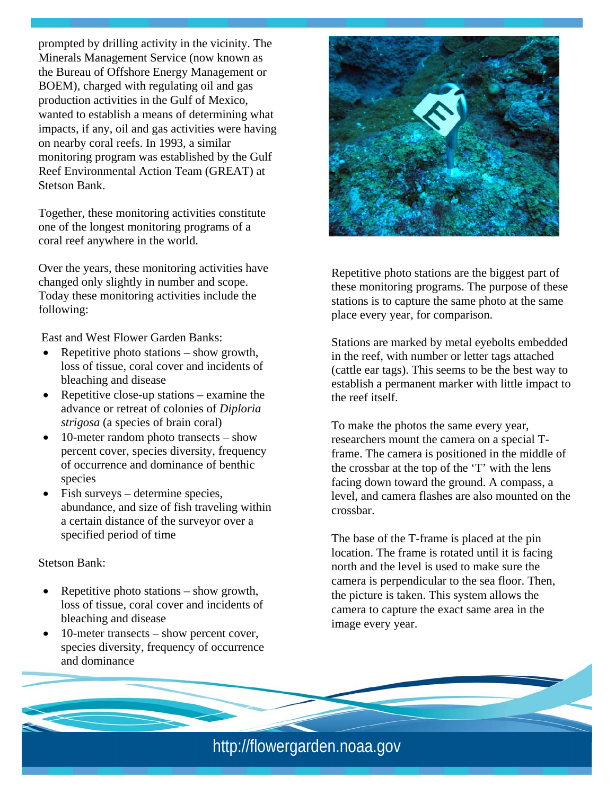prompted by drilling activity in the vicinity. The Minerals Management Service (now known as the Bureau of Offshore Energy Management or BOEM), charged with regulating oil and gas production activities in the Gulf of Mexico, wanted to establish a means of determining what impacts, if any, oil and gas activities were having on nearby coral reefs. In 1993, a similar monitoring program was established by the Gulf Reef Environmental Action Team (GREAT) at Stetson Bank.

Together, these monitoring activities constitute one of the longest monitoring programs of a coral reef anywhere in the world.

Over the years, these monitoring activities have changed only slightly in number and scope. Today these monitoring activities include the following:

East and West Flower Garden Banks:

- Repetitive photo stations  $-$  show growth, loss of tissue, coral cover and incidents of bleaching and disease
- Repetitive close-up stations examine the advance or retreat of colonies of *Diploria strigosa* (a species of brain coral)
- 10-meter random photo transects show percent cover, species diversity, frequency of occurrence and dominance of benthic species
- Fish surveys determine species, abundance, and size of fish traveling within a certain distance of the surveyor over a specified period of time

Stetson Bank:

- Repetitive photo stations  $-$  show growth, loss of tissue, coral cover and incidents of bleaching and disease
- 10-meter transects show percent cover, species diversity, frequency of occurrence and dominance



Repetitive photo stations are the biggest part of these monitoring programs. The purpose of these stations is to capture the same photo at the same place every year, for comparison.

the reef itself. Stations are marked by metal eyebolts embedded in the reef, with number or letter tags attached (cattle ear tags). This seems to be the best way to establish a permanent marker with little impact to

To make the photos the same every year, researchers mount the camera on a special Tframe. The camera is positioned in the middle of the crossbar at the top of the 'T' with the lens facing down toward the ground. A compass, a level, and camera flashes are also mounted on the crossbar.

The base of the T-frame is placed at the pin location. The frame is rotated until it is facing north and the level is used to make sure the camera is perpendicular to the sea floor. Then, the picture is taken. This system allows the camera to capture the exact same area in the image every year.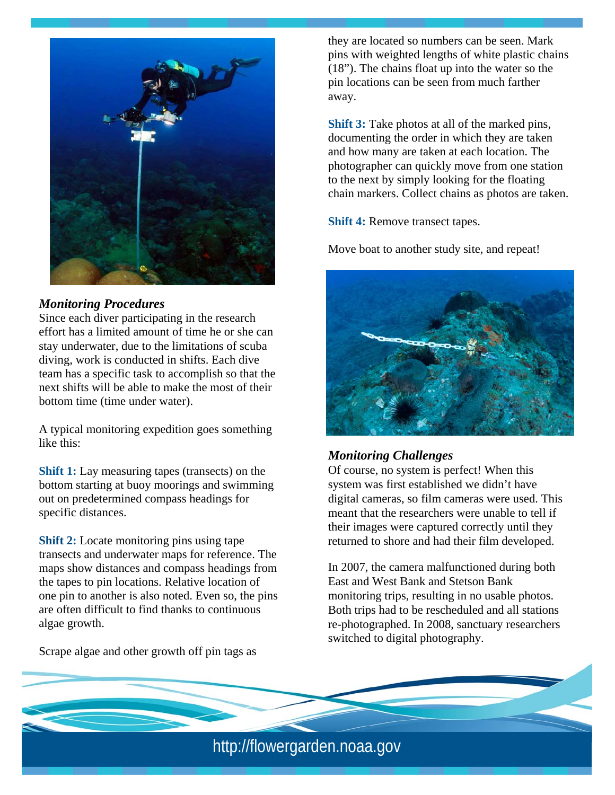

#### *Monitoring Procedures*

Since each diver participating in the research effort has a limited amount of time he or she can stay underwater, due to the limitations of scuba diving, work is conducted in shifts. Each dive team has a specific task to accomplish so that the next shifts will be able to make the most of their bottom time (time under water).

A typical monitoring expedition goes something like this:

**Shift 1:** Lay measuring tapes (transects) on the bottom starting at buoy moorings and swimming out on predetermined compass headings for specific distances.

**Shift 2:** Locate monitoring pins using tape transects and underwater maps for reference. The maps show distances and compass headings from the tapes to pin locations. Relative location of one pin to another is also noted. Even so, the pins are often difficult to find thanks to continuous algae growth.

Scrape algae and other growth off pin tags as

they are located so numbers can be seen. Mark pins with weighted lengths of white plastic chains (18"). The chains float up into the water so the pin locations can be seen from much farther away.

**Shift 3:** Take photos at all of the marked pins, documenting the order in which they are taken and how many are taken at each location. The photographer can quickly move from one station to the next by simply looking for the floating chain markers. Collect chains as photos are taken.

**Shift 4:** Remove transect tapes.

Move boat to another study site, and repeat!



#### *Monitoring Challenges*

Of course, no system is perfect! When this system was first established we didn't have digital cameras, so film cameras were used. This meant that the researchers were unable to tell if their images were captured correctly until they returned to shore and had their film developed.

In 2007, the camera malfunctioned during both East and West Bank and Stetson Bank monitoring trips, resulting in no usable photos. Both trips had to be rescheduled and all stations re-photographed. In 2008, sanctuary researchers switched to digital photography.

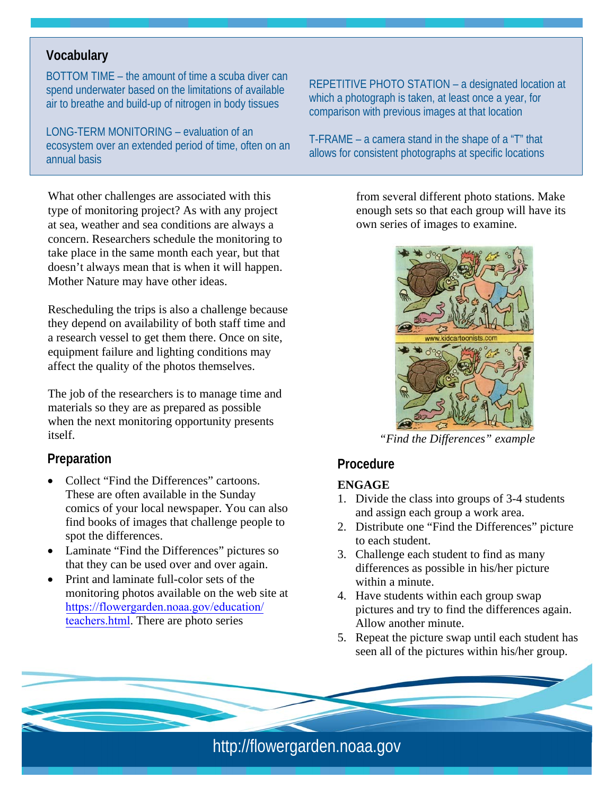#### **Vocabulary**

BOTTOM TIME – the amount of time a scuba diver can spend underwater based on the limitations of available air to breathe and build-up of nitrogen in body tissues

LONG-TERM MONITORING – evaluation of an ecosystem over an extended period of time, often on an annual basis

What other challenges are associated with this type of monitoring project? As with any project at sea, weather and sea conditions are always a concern. Researchers schedule the monitoring to take place in the same month each year, but that doesn't always mean that is when it will happen. Mother Nature may have other ideas.

Rescheduling the trips is also a challenge because they depend on availability of both staff time and a research vessel to get them there. Once on site, equipment failure and lighting conditions may affect the quality of the photos themselves.

The job of the researchers is to manage time and materials so they are as prepared as possible when the next monitoring opportunity presents itself.

#### **Preparation**

- Collect "Find the Differences" cartoons. These are often available in the Sunday comics of your local newspaper. You can also find books of images that challenge people to spot the differences.
- Laminate "Find the Differences" pictures so that they can be used over and over again.
- Print and laminate full-color sets of the monitoring photos available on the web site at [https://flowergarden.noaa.gov/education/](athttps://flowergarden.noaa.gov/education/teachers.html) [teachers.html](athttps://flowergarden.noaa.gov/education/teachers.html). There are photo series

REPETITIVE PHOTO STATION – a designated location at which a photograph is taken, at least once a year, for comparison with previous images at that location

T-FRAME – a camera stand in the shape of a "T" that allows for consistent photographs at specific locations

> from several different photo stations. Make enough sets so that each group will have its own series of images to examine.



*"Find the Differences" example* 

#### **Procedure**

#### **ENGAGE**

- 1. Divide the class into groups of 3-4 students and assign each group a work area.
- 2. Distribute one "Find the Differences" picture to each student.
- 3. Challenge each student to find as many differences as possible in his/her picture within a minute.
- 4. Have students within each group swap pictures and try to find the differences again. Allow another minute.
- 5. Repeat the picture swap until each student has seen all of the pictures within his/her group.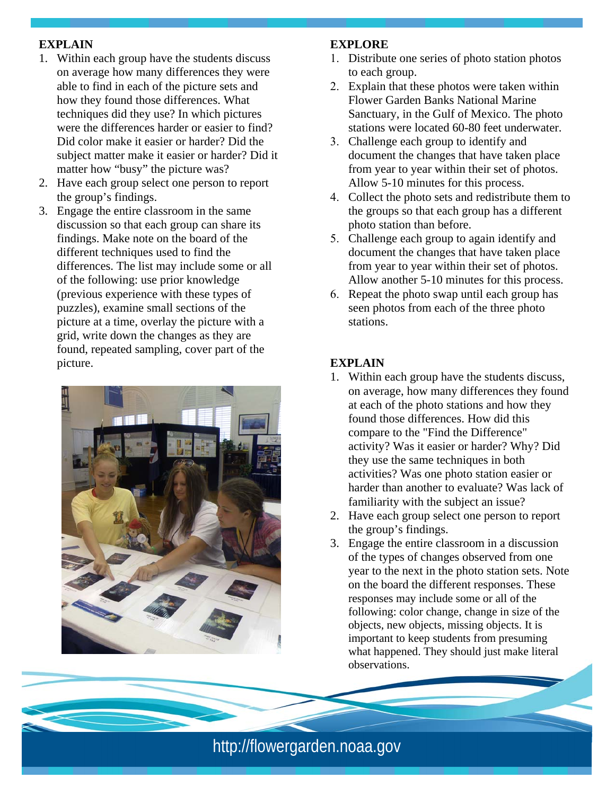#### **EXPLAIN**

- matter how "busy" the picture was? 1. Within each group have the students discuss on average how many differences they were able to find in each of the picture sets and how they found those differences. What techniques did they use? In which pictures were the differences harder or easier to find? Did color make it easier or harder? Did the subject matter make it easier or harder? Did it
- 2. Have each group select one person to report the group's findings.
- 3. Engage the entire classroom in the same discussion so that each group can share its findings. Make note on the board of the different techniques used to find the differences. The list may include some or all of the following: use prior knowledge (previous experience with these types of puzzles), examine small sections of the picture at a time, overlay the picture with a grid, write down the changes as they are found, repeated sampling, cover part of the picture.



#### **EXPLORE**

- 1. Distribute one series of photo station photos to each group.
- 2. Explain that these photos were taken within Flower Garden Banks National Marine Sanctuary, in the Gulf of Mexico. The photo stations were located 60-80 feet underwater.
- 3. Challenge each group to identify and document the changes that have taken place from year to year within their set of photos. Allow 5-10 minutes for this process.
- 4. Collect the photo sets and redistribute them to the groups so that each group has a different photo station than before.
- 5. Challenge each group to again identify and document the changes that have taken place from year to year within their set of photos. Allow another 5-10 minutes for this process.
- 6. Repeat the photo swap until each group has seen photos from each of the three photo stations.

#### **EXPLAIN**

- familiarity with the subject an issue? 1. Within each group have the students discuss, on average, how many differences they found at each of the photo stations and how they found those differences. How did this compare to the "Find the Difference" activity? Was it easier or harder? Why? Did they use the same techniques in both activities? Was one photo station easier or harder than another to evaluate? Was lack of
- 2. Have each group select one person to report the group's findings.
- 3. Engage the entire classroom in a discussion of the types of changes observed from one year to the next in the photo station sets. Note on the board the different responses. These responses may include some or all of the following: color change, change in size of the objects, new objects, missing objects. It is important to keep students from presuming what happened. They should just make literal observations.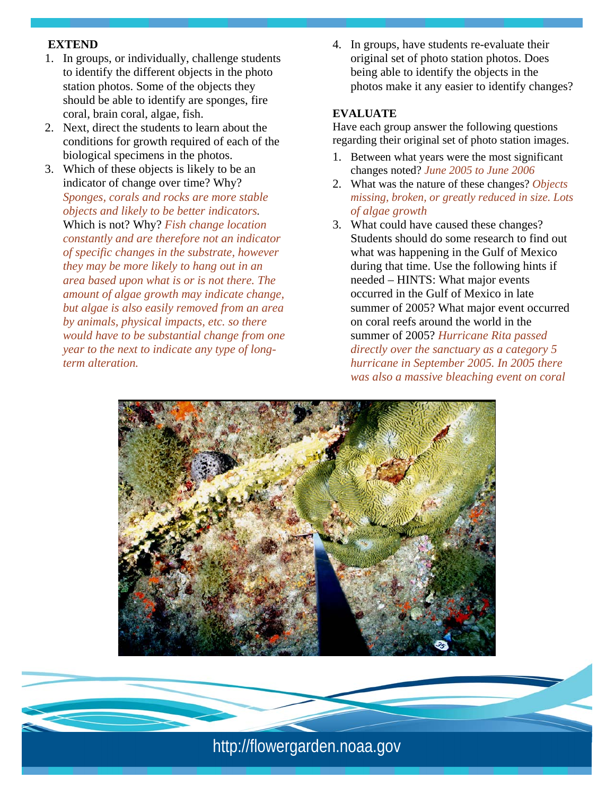#### **EXTEND**

- 1. In groups, or individually, challenge students to identify the different objects in the photo station photos. Some of the objects they should be able to identify are sponges, fire coral, brain coral, algae, fish.
- 2. Next, direct the students to learn about the conditions for growth required of each of the biological specimens in the photos.
- 3. Which of these objects is likely to be an indicator of change over time? Why? *Sponges, corals and rocks are more stable objects and likely to be better indicators.* Which is not? Why? *Fish change location constantly and are therefore not an indicator of specific changes in the substrate, however they may be more likely to hang out in an area based upon what is or is not there. The amount of algae growth may indicate change, but algae is also easily removed from an area by animals, physical impacts, etc. so there would have to be substantial change from one year to the next to indicate any type of longterm alteration.*

4. In groups, have students re-evaluate their original set of photo station photos. Does being able to identify the objects in the photos make it any easier to identify changes?

#### **EVALUATE**

Have each group answer the following questions regarding their original set of photo station images.

- 1. Between what years were the most significant changes noted? *June 2005 to June 2006*
- 2. What was the nature of these changes? *Objects missing, broken, or greatly reduced in size. Lots of algae growth*
- 3. What could have caused these changes? Students should do some research to find out what was happening in the Gulf of Mexico during that time. Use the following hints if needed – HINTS: What major events occurred in the Gulf of Mexico in late summer of 2005? What major event occurred on coral reefs around the world in the summer of 2005? *Hurricane Rita passed directly over the sanctuary as a category 5 hurricane in September 2005. In 2005 there was also a massive bleaching event on coral*



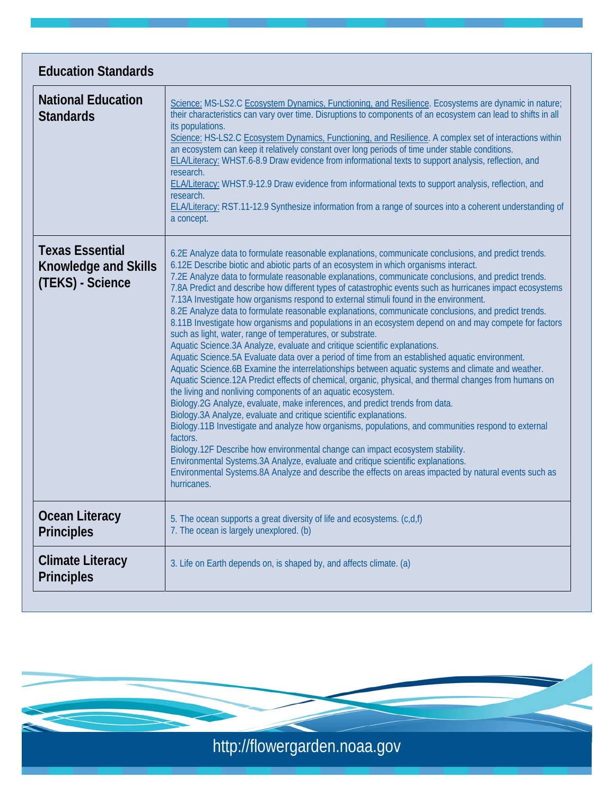| <b>Education Standards</b>                                                |                                                                                                                                                                                                                                                                                                                                                                                                                                                                                                                                                                                                                                                                                                                                                                                                                                                                                                                                                                                                                                                                                                                                                                                                                                                                                                                                                                                                                                                                                                                                                                                                                                                                                                                                                                                                                                  |
|---------------------------------------------------------------------------|----------------------------------------------------------------------------------------------------------------------------------------------------------------------------------------------------------------------------------------------------------------------------------------------------------------------------------------------------------------------------------------------------------------------------------------------------------------------------------------------------------------------------------------------------------------------------------------------------------------------------------------------------------------------------------------------------------------------------------------------------------------------------------------------------------------------------------------------------------------------------------------------------------------------------------------------------------------------------------------------------------------------------------------------------------------------------------------------------------------------------------------------------------------------------------------------------------------------------------------------------------------------------------------------------------------------------------------------------------------------------------------------------------------------------------------------------------------------------------------------------------------------------------------------------------------------------------------------------------------------------------------------------------------------------------------------------------------------------------------------------------------------------------------------------------------------------------|
| <b>National Education</b><br><b>Standards</b>                             | Science: MS-LS2.C Ecosystem Dynamics, Functioning, and Resilience. Ecosystems are dynamic in nature;<br>their characteristics can vary over time. Disruptions to components of an ecosystem can lead to shifts in all<br>its populations.<br>Science: HS-LS2.C Ecosystem Dynamics, Functioning, and Resilience. A complex set of interactions within<br>an ecosystem can keep it relatively constant over long periods of time under stable conditions.<br>ELA/Literacy: WHST.6-8.9 Draw evidence from informational texts to support analysis, reflection, and<br>research.<br><b>ELA/Literacy:</b> WHST.9-12.9 Draw evidence from informational texts to support analysis, reflection, and<br>research.<br>ELA/Literacy: RST.11-12.9 Synthesize information from a range of sources into a coherent understanding of<br>a concept.                                                                                                                                                                                                                                                                                                                                                                                                                                                                                                                                                                                                                                                                                                                                                                                                                                                                                                                                                                                             |
| <b>Texas Essential</b><br><b>Knowledge and Skills</b><br>(TEKS) - Science | 6.2E Analyze data to formulate reasonable explanations, communicate conclusions, and predict trends.<br>6.12E Describe biotic and abiotic parts of an ecosystem in which organisms interact.<br>7.2E Analyze data to formulate reasonable explanations, communicate conclusions, and predict trends.<br>7.8A Predict and describe how different types of catastrophic events such as hurricanes impact ecosystems<br>7.13A Investigate how organisms respond to external stimuli found in the environment.<br>8.2E Analyze data to formulate reasonable explanations, communicate conclusions, and predict trends.<br>8.11B Investigate how organisms and populations in an ecosystem depend on and may compete for factors<br>such as light, water, range of temperatures, or substrate.<br>Aquatic Science.3A Analyze, evaluate and critique scientific explanations.<br>Aquatic Science.5A Evaluate data over a period of time from an established aquatic environment.<br>Aquatic Science.6B Examine the interrelationships between aquatic systems and climate and weather.<br>Aquatic Science.12A Predict effects of chemical, organic, physical, and thermal changes from humans on<br>the living and nonliving components of an aquatic ecosystem.<br>Biology.2G Analyze, evaluate, make inferences, and predict trends from data.<br>Biology.3A Analyze, evaluate and critique scientific explanations.<br>Biology.11B Investigate and analyze how organisms, populations, and communities respond to external<br>factors.<br>Biology.12F Describe how environmental change can impact ecosystem stability.<br>Environmental Systems.3A Analyze, evaluate and critique scientific explanations.<br>Environmental Systems.8A Analyze and describe the effects on areas impacted by natural events such as<br>hurricanes. |
| <b>Ocean Literacy</b><br><b>Principles</b>                                | 5. The ocean supports a great diversity of life and ecosystems. (c,d,f)<br>7. The ocean is largely unexplored. (b)                                                                                                                                                                                                                                                                                                                                                                                                                                                                                                                                                                                                                                                                                                                                                                                                                                                                                                                                                                                                                                                                                                                                                                                                                                                                                                                                                                                                                                                                                                                                                                                                                                                                                                               |
| <b>Climate Literacy</b><br><b>Principles</b>                              | 3. Life on Earth depends on, is shaped by, and affects climate. (a)                                                                                                                                                                                                                                                                                                                                                                                                                                                                                                                                                                                                                                                                                                                                                                                                                                                                                                                                                                                                                                                                                                                                                                                                                                                                                                                                                                                                                                                                                                                                                                                                                                                                                                                                                              |